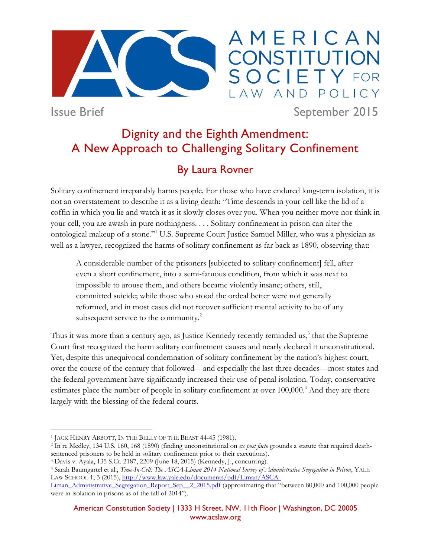

## AMERICAN **ISTITUTION** POLICY LAW AND

Issue Brief September 2015

# Dignity and the Eighth Amendment: A New Approach to Challenging Solitary Confinement

## By Laura Rovner

Solitary confinement irreparably harms people. For those who have endured long-term isolation, it is not an overstatement to describe it as a living death: "Time descends in your cell like the lid of a coffin in which you lie and watch it as it slowly closes over you. When you neither move nor think in your cell, you are awash in pure nothingness. . . . Solitary confinement in prison can alter the ontological makeup of a stone."<sup>1</sup> U.S. Supreme Court Justice Samuel Miller, who was a physician as well as a lawyer, recognized the harms of solitary confinement as far back as 1890, observing that:

A considerable number of the prisoners [subjected to solitary confinement] fell, after even a short confinement, into a semi-fatuous condition, from which it was next to impossible to arouse them, and others became violently insane; others, still, committed suicide; while those who stood the ordeal better were not generally reformed, and in most cases did not recover sufficient mental activity to be of any subsequent service to the community.<sup>2</sup>

Thus it was more than a century ago, as Justice Kennedy recently reminded us,<sup>3</sup> that the Supreme Court first recognized the harm solitary confinement causes and nearly declared it unconstitutional. Yet, despite this unequivocal condemnation of solitary confinement by the nation's highest court, over the course of the century that followed—and especially the last three decades—most states and the federal government have significantly increased their use of penal isolation. Today, conservative estimates place the number of people in solitary confinement at over 100,000.<sup>4</sup> And they are there largely with the blessing of the federal courts.

 $\overline{a}$ 1 JACK HENRY ABBOTT, IN THE BELLY OF THE BEAST 44-45 (1981).

<sup>2</sup> In re Medley, 134 U.S. 160, 168 (1890) (finding unconstitutional on *ex post facto* grounds a statute that required deathsentenced prisoners to be held in solitary confinement prior to their executions).

<sup>3</sup> Davis v. Ayala, 135 S.Ct. 2187, 2209 (June 18, 2015) (Kennedy, J., concurring).

<sup>4</sup> Sarah Baumgartel et al., *Time-In-Cell: The ASCA-Liman 2014 National Survey of Administrative Segregation in Prison*, YALE LAW SCHOOL 1, 3 (2015)[, http://www.law.yale.edu/documents/pdf/Liman/ASCA-](http://www.law.yale.edu/documents/pdf/Liman/ASCA-Liman_Administrative_Segregation_Report_Sep__2_2015.pdf)

[Liman\\_Administrative\\_Segregation\\_Report\\_Sep\\_\\_2\\_2015.pdf](http://www.law.yale.edu/documents/pdf/Liman/ASCA-Liman_Administrative_Segregation_Report_Sep__2_2015.pdf) (approximating that "between 80,000 and 100,000 people were in isolation in prisons as of the fall of 2014").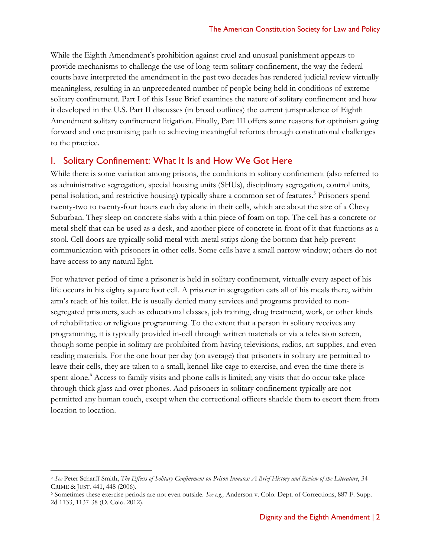While the Eighth Amendment's prohibition against cruel and unusual punishment appears to provide mechanisms to challenge the use of long-term solitary confinement, the way the federal courts have interpreted the amendment in the past two decades has rendered judicial review virtually meaningless, resulting in an unprecedented number of people being held in conditions of extreme solitary confinement. Part I of this Issue Brief examines the nature of solitary confinement and how it developed in the U.S. Part II discusses (in broad outlines) the current jurisprudence of Eighth Amendment solitary confinement litigation. Finally, Part III offers some reasons for optimism going forward and one promising path to achieving meaningful reforms through constitutional challenges to the practice.

#### I. Solitary Confinement: What It Is and How We Got Here

While there is some variation among prisons, the conditions in solitary confinement (also referred to as administrative segregation, special housing units (SHUs), disciplinary segregation, control units, penal isolation, and restrictive housing) typically share a common set of features.<sup>5</sup> Prisoners spend twenty-two to twenty-four hours each day alone in their cells, which are about the size of a Chevy Suburban. They sleep on concrete slabs with a thin piece of foam on top. The cell has a concrete or metal shelf that can be used as a desk, and another piece of concrete in front of it that functions as a stool. Cell doors are typically solid metal with metal strips along the bottom that help prevent communication with prisoners in other cells. Some cells have a small narrow window; others do not have access to any natural light.

For whatever period of time a prisoner is held in solitary confinement, virtually every aspect of his life occurs in his eighty square foot cell. A prisoner in segregation eats all of his meals there, within arm's reach of his toilet. He is usually denied many services and programs provided to nonsegregated prisoners, such as educational classes, job training, drug treatment, work, or other kinds of rehabilitative or religious programming. To the extent that a person in solitary receives any programming, it is typically provided in-cell through written materials or via a television screen, though some people in solitary are prohibited from having televisions, radios, art supplies, and even reading materials. For the one hour per day (on average) that prisoners in solitary are permitted to leave their cells, they are taken to a small, kennel-like cage to exercise, and even the time there is spent alone.<sup>6</sup> Access to family visits and phone calls is limited; any visits that do occur take place through thick glass and over phones. And prisoners in solitary confinement typically are not permitted any human touch, except when the correctional officers shackle them to escort them from location to location.

<sup>5</sup> *See* Peter Scharff Smith, *The Effects of Solitary Confinement on Prison Inmates: A Brief History and Review of the Literature*, 34 CRIME & JUST. 441, 448 (2006).

<sup>6</sup> Sometimes these exercise periods are not even outside. *See e.g.,* Anderson v. Colo. Dept. of Corrections, 887 F. Supp. 2d 1133, 1137-38 (D. Colo. 2012).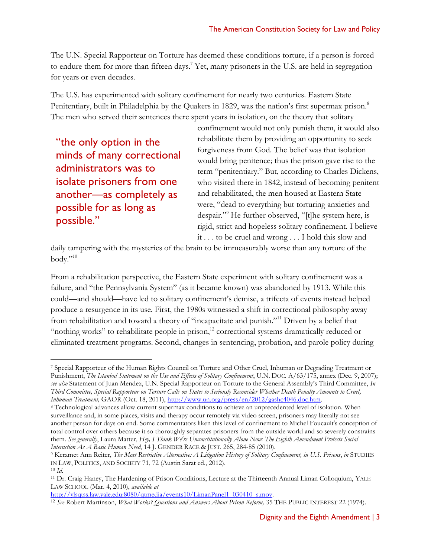The U.N. Special Rapporteur on Torture has deemed these conditions torture, if a person is forced to endure them for more than fifteen days.<sup>7</sup> Yet, many prisoners in the U.S. are held in segregation for years or even decades.

The U.S. has experimented with solitary confinement for nearly two centuries. Eastern State Penitentiary, built in Philadelphia by the Quakers in 1829, was the nation's first supermax prison.<sup>8</sup> The men who served their sentences there spent years in isolation, on the theory that solitary

"the only option in the minds of many correctional administrators was to isolate prisoners from one another—as completely as possible for as long as possible."

confinement would not only punish them, it would also rehabilitate them by providing an opportunity to seek forgiveness from God. The belief was that isolation would bring penitence; thus the prison gave rise to the term "penitentiary." But, according to Charles Dickens, who visited there in 1842, instead of becoming penitent and rehabilitated, the men housed at Eastern State were, "dead to everything but torturing anxieties and despair."<sup>9</sup> He further observed, "[t]he system here, is rigid, strict and hopeless solitary confinement. I believe it . . . to be cruel and wrong . . . I hold this slow and

daily tampering with the mysteries of the brain to be immeasurably worse than any torture of the body."<sup>10</sup>

From a rehabilitation perspective, the Eastern State experiment with solitary confinement was a failure, and "the Pennsylvania System" (as it became known) was abandoned by 1913. While this could—and should—have led to solitary confinement's demise, a trifecta of events instead helped produce a resurgence in its use. First, the 1980s witnessed a shift in correctional philosophy away from rehabilitation and toward a theory of "incapacitate and punish."<sup>11</sup> Driven by a belief that "nothing works" to rehabilitate people in prison,<sup>12</sup> correctional systems dramatically reduced or eliminated treatment programs. Second, changes in sentencing, probation, and parole policy during

 $\overline{a}$ 

[http://ylsqtss.law.yale.edu:8080/qtmedia/events10/LimanPanel1\\_030410\\_s.mov.](http://ylsqtss.law.yale.edu:8080/qtmedia/events10/LimanPanel1_030410_s.mov)

<sup>7</sup> Special Rapporteur of the Human Rights Council on Torture and Other Cruel, Inhuman or Degrading Treatment or Punishment, *The Istanbul Statement on the Use and Effects of Solitary Confinement*, U.N. DOC. A/63/175, annex (Dec. 9, 2007); *see also* Statement of Juan Mendez, U.N. Special Rapporteur on Torture to the General Assembly's Third Committee, *In Third Committee, Special Rapporteur on Torture Calls on States to Seriously Reconsider Whether Death Penalty Amounts to Cruel, Inhuman Treatment,* GAOR (Oct. 18, 2011), [http://www.un.org/press/en/2012/gashc4046.doc.htm.](http://www.un.org/press/en/2012/gashc4046.doc.htm)

<sup>8</sup> Technological advances allow current supermax conditions to achieve an unprecedented level of isolation. When surveillance and, in some places, visits and therapy occur remotely via video screen, prisoners may literally not see another person for days on end. Some commentators liken this level of confinement to Michel Foucault's conception of total control over others because it so thoroughly separates prisoners from the outside world and so severely constrains them. *See generally*, Laura Matter, *Hey, I Think We're Unconstitutionally Alone Now: The Eighth Amendment Protects Social Interaction As A Basic Human Need*, 14 J. GENDER RACE & JUST. 265, 284-85 (2010).

<sup>9</sup> Keramet Ann Reiter, *The Most Restrictive Alternative: A Litigation History of Solitary Confinement, in U.S. Prisons*, *in* STUDIES IN LAW, POLITICS, AND SOCIETY 71, 72 (Austin Sarat ed., 2012).

<sup>10</sup> *Id*.

<sup>11</sup> Dr. Craig Haney, The Hardening of Prison Conditions, Lecture at the Thirteenth Annual Liman Colloquium, YALE LAW SCHOOL (Mar. 4, 2010), *available at*

<sup>12</sup> *See* Robert Martinson, *What Works? Questions and Answers About Prison Reform,* 35 THE PUBLIC INTEREST 22 (1974).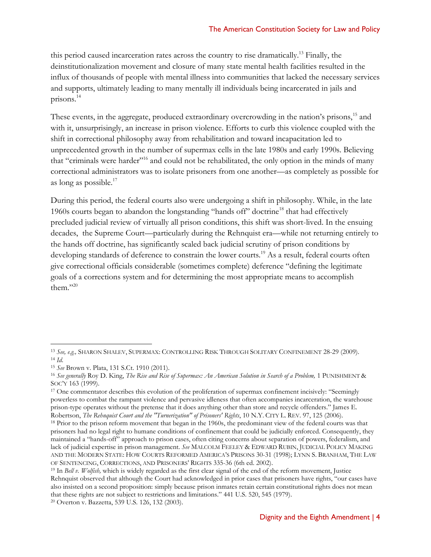this period caused incarceration rates across the country to rise dramatically.<sup>13</sup> Finally, the deinstitutionalization movement and closure of many state mental health facilities resulted in the influx of thousands of people with mental illness into communities that lacked the necessary services and supports, ultimately leading to many mentally ill individuals being incarcerated in jails and prisons.<sup>14</sup>

These events, in the aggregate, produced extraordinary overcrowding in the nation's prisons,<sup>15</sup> and with it, unsurprisingly, an increase in prison violence. Efforts to curb this violence coupled with the shift in correctional philosophy away from rehabilitation and toward incapacitation led to unprecedented growth in the number of supermax cells in the late 1980s and early 1990s. Believing that "criminals were harder"<sup>16</sup> and could not be rehabilitated, the only option in the minds of many correctional administrators was to isolate prisoners from one another—as completely as possible for as long as possible.<sup>17</sup>

During this period, the federal courts also were undergoing a shift in philosophy. While, in the late 1960s courts began to abandon the longstanding "hands off" doctrine<sup>18</sup> that had effectively precluded judicial review of virtually all prison conditions, this shift was short-lived. In the ensuing decades, the Supreme Court—particularly during the Rehnquist era—while not returning entirely to the hands off doctrine, has significantly scaled back judicial scrutiny of prison conditions by developing standards of deference to constrain the lower courts.<sup>19</sup> As a result, federal courts often give correctional officials considerable (sometimes complete) deference "defining the legitimate goals of a corrections system and for determining the most appropriate means to accomplish them." $20$ 

<sup>13</sup> *See, e.g.,* SHARON SHALEV, SUPERMAX: CONTROLLING RISK THROUGH SOLITARY CONFINEMENT 28-29 (2009). <sup>14</sup> *Id*.

<sup>15</sup> *See* Brown v. Plata, 131 S.Ct. 1910 (2011).

<sup>&</sup>lt;sup>16</sup> See generally Roy D. King, *The Rise and Rise of Supermax: An American Solution in Search of a Problem, 1 PUNISHMENT &* SOC'Y 163 (1999).

<sup>&</sup>lt;sup>17</sup> One commentator describes this evolution of the proliferation of supermax confinement incisively: "Seemingly powerless to combat the rampant violence and pervasive idleness that often accompanies incarceration, the warehouse prison-type operates without the pretense that it does anything other than store and recycle offenders." James E. Robertson, *The Rehnquist Court and the "Turnerization" of Prisoners' Rights*, 10 N.Y. CITY L. REV. 97, 125 (2006).

<sup>&</sup>lt;sup>18</sup> Prior to the prison reform movement that began in the 1960s, the predominant view of the federal courts was that prisoners had no legal right to humane conditions of confinement that could be judicially enforced. Consequently, they maintained a "hands-off" approach to prison cases, often citing concerns about separation of powers, federalism, and lack of judicial expertise in prison management. *See* MALCOLM FEELEY & EDWARD RUBIN, JUDICIAL POLICY MAKING AND THE MODERN STATE: HOW COURTS REFORMED AMERICA'S PRISONS 30-31 (1998); LYNN S. BRANHAM, THE LAW OF SENTENCING, CORRECTIONS, AND PRISONERS' RIGHTS 335-36 (6th ed. 2002).

<sup>19</sup> In *Bell v. Wolfish,* which is widely regarded as the first clear signal of the end of the reform movement, Justice Rehnquist observed that although the Court had acknowledged in prior cases that prisoners have rights, "our cases have also insisted on a second proposition: simply because prison inmates retain certain constitutional rights does not mean that these rights are not subject to restrictions and limitations." 441 U.S. 520, 545 (1979).

<sup>20</sup> Overton v. Bazzetta, 539 U.S. 126, 132 (2003).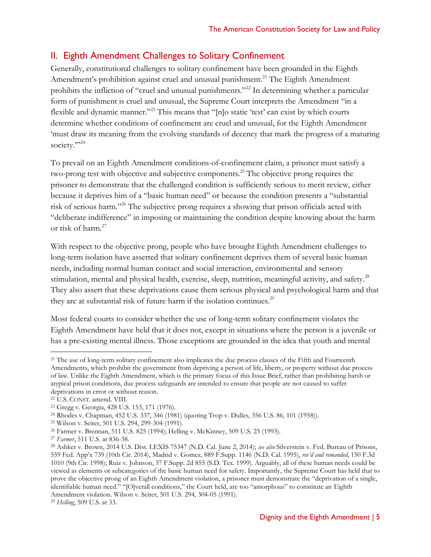## II. Eighth Amendment Challenges to Solitary Confinement

Generally, constitutional challenges to solitary confinement have been grounded in the Eighth Amendment's prohibition against cruel and unusual punishment.<sup>21</sup> The Eighth Amendment prohibits the infliction of "cruel and unusual punishments."<sup>22</sup> In determining whether a particular form of punishment is cruel and unusual, the Supreme Court interprets the Amendment "in a flexible and dynamic manner."<sup>23</sup> This means that "[n]o static 'test' can exist by which courts determine whether conditions of confinement are cruel and unusual, for the Eighth Amendment 'must draw its meaning from the evolving standards of decency that mark the progress of a maturing society.""<sup>24</sup>

To prevail on an Eighth Amendment conditions-of-confinement claim, a prisoner must satisfy a two-prong test with objective and subjective components.<sup>25</sup> The objective prong requires the prisoner to demonstrate that the challenged condition is sufficiently serious to merit review, either because it deprives him of a "basic human need" or because the condition presents a "substantial risk of serious harm."<sup>26</sup> The subjective prong requires a showing that prison officials acted with "deliberate indifference" in imposing or maintaining the condition despite knowing about the harm or risk of harm.<sup>27</sup>

With respect to the objective prong, people who have brought Eighth Amendment challenges to long-term isolation have asserted that solitary confinement deprives them of several basic human needs, including normal human contact and social interaction, environmental and sensory stimulation, mental and physical health, exercise, sleep, nutrition, meaningful activity, and safety.<sup>28</sup> They also assert that these deprivations cause them serious physical and psychological harm and that they are at substantial risk of future harm if the isolation continues.<sup>29</sup>

Most federal courts to consider whether the use of long-term solitary confinement violates the Eighth Amendment have held that it does not, except in situations where the person is a juvenile or has a pre-existing mental illness. Those exceptions are grounded in the idea that youth and mental

 $\overline{a}$ 

<sup>25</sup> Wilson v. Seiter, 501 U.S. 294, 299-304 (1991).

<sup>&</sup>lt;sup>21</sup> The use of long-term solitary confinement also implicates the due process clauses of the Fifth and Fourteenth Amendments, which prohibit the government from depriving a person of life, liberty, or property without due process of law. Unlike the Eighth Amendment, which is the primary focus of this Issue Brief, rather than prohibiting harsh or atypical prison conditions, due process safeguards are intended to ensure that people are not caused to suffer deprivations in error or without reason.

<sup>22</sup> U.S. CONST. amend. VIII.

<sup>23</sup> Gregg v. Georgia, 428 U.S. 153, 171 (1976).

<sup>24</sup> Rhodes v. Chapman, 452 U.S. 337, 346 (1981) (quoting Trop v. Dulles, 356 U.S. 86, 101 (1958)).

<sup>26</sup> Farmer v. Brennan, 511 U.S. 825 (1994); Helling v. McKinney, 509 U.S. 25 (1993).

<sup>27</sup> *Farmer*, 511 U.S. at 836-38.

<sup>28</sup> Ashker v. Brown, 2014 U.S. Dist. LEXIS 75347 (N.D. Cal. June 2, 2014); *see also* Silverstein v. Fed. Bureau of Prisons, 559 Fed. App'x 739 (10th Cir. 2014), Madrid v. Gomez, 889 F.Supp. 1146 (N.D. Cal. 1995), *rev'd and remanded*, 150 F.3d 1010 (9th Cir. 1998); Ruiz v. Johnson, 37 F.Supp. 2d 855 (S.D. Tex. 1999). Arguably, all of these human needs could be viewed as elements or subcategories of the basic human need for safety. Importantly, the Supreme Court has held that to prove the objective prong of an Eighth Amendment violation, a prisoner must demonstrate the "deprivation of a single, identifiable human need." "[O]verall conditions," the Court held, are too "amorphous" to constitute an Eighth Amendment violation. Wilson v. Seiter, 501 U.S. 294, 304-05 (1991).

<sup>29</sup> *Helling*, 509 U.S. at 33.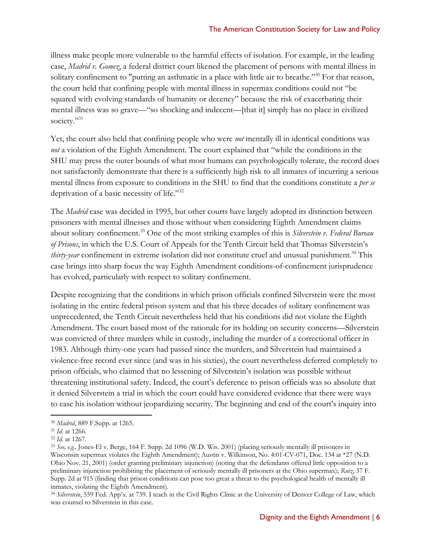illness make people more vulnerable to the harmful effects of isolation. For example, in the leading case, *Madrid v. Gomez*, a federal district court likened the placement of persons with mental illness in solitary confinement to "putting an asthmatic in a place with little air to breathe."<sup>30</sup> For that reason, the court held that confining people with mental illness in supermax conditions could not "be squared with evolving standards of humanity or decency" because the risk of exacerbating their mental illness was so grave—"so shocking and indecent—[that it] simply has no place in civilized society."<sup>31</sup>

Yet, the court also held that confining people who were *not* mentally ill in identical conditions was *not* a violation of the Eighth Amendment. The court explained that "while the conditions in the SHU may press the outer bounds of what most humans can psychologically tolerate, the record does not satisfactorily demonstrate that there is a sufficiently high risk to all inmates of incurring a serious mental illness from exposure to conditions in the SHU to find that the conditions constitute a *per se* deprivation of a basic necessity of life."<sup>32</sup>

The *Madrid* case was decided in 1995, but other courts have largely adopted its distinction between prisoners with mental illnesses and those without when considering Eighth Amendment claims about solitary confinement.<sup>33</sup> One of the most striking examples of this is *Silverstein v. Federal Bureau of Prisons*, in which the U.S. Court of Appeals for the Tenth Circuit held that Thomas Silverstein's *thirty-year* confinement in extreme isolation did not constitute cruel and unusual punishment.<sup>34</sup> This case brings into sharp focus the way Eighth Amendment conditions-of-confinement jurisprudence has evolved, particularly with respect to solitary confinement.

Despite recognizing that the conditions in which prison officials confined Silverstein were the most isolating in the entire federal prison system and that his three decades of solitary confinement was unprecedented, the Tenth Circuit nevertheless held that his conditions did not violate the Eighth Amendment. The court based most of the rationale for its holding on security concerns—Silverstein was convicted of three murders while in custody, including the murder of a correctional officer in 1983. Although thirty-one years had passed since the murders, and Silverstein had maintained a violence-free record ever since (and was in his sixties), the court nevertheless deferred completely to prison officials, who claimed that no lessening of Silverstein's isolation was possible without threatening institutional safety. Indeed, the court's deference to prison officials was so absolute that it denied Silverstein a trial in which the court could have considered evidence that there were ways to ease his isolation without jeopardizing security. The beginning and end of the court's inquiry into

<sup>30</sup> *Madrid*, 889 F.Supp. at 1265.

<sup>31</sup> *Id.* at 1266.

<sup>32</sup> *Id.* at 1267.

<sup>33</sup> *See, e.g.,* Jones-El v. Berge, 164 F. Supp. 2d 1096 (W.D. Wis. 2001) (placing seriously mentally ill prisoners in Wisconsin supermax violates the Eighth Amendment); Austin v. Wilkinson, No. 4:01-CV-071, Doc. 134 at \*27 (N.D. Ohio Nov. 21, 2001) (order granting preliminary injunction) (noting that the defendants offered little opposition to a preliminary injunction prohibiting the placement of seriously mentally ill prisoners at the Ohio supermax); *Ruiz*, 37 F. Supp. 2d at 915 (finding that prison conditions can pose too great a threat to the psychological health of mentally ill inmates, violating the Eighth Amendment).

<sup>34</sup> *Silverstein*, 559 Fed. App'x. at 739. I teach in the Civil Rights Clinic at the University of Denver College of Law, which was counsel to Silverstein in this case.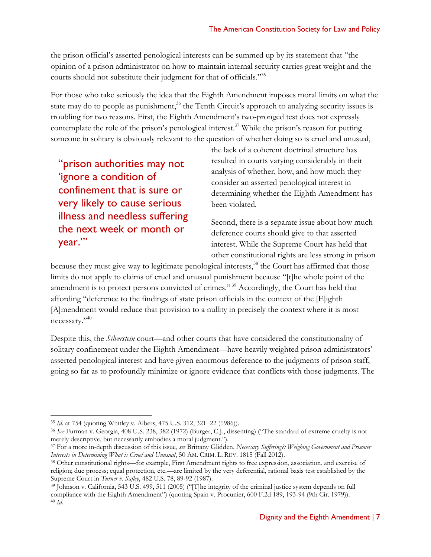the prison official's asserted penological interests can be summed up by its statement that "the opinion of a prison administrator on how to maintain internal security carries great weight and the courts should not substitute their judgment for that of officials."<sup>35</sup>

For those who take seriously the idea that the Eighth Amendment imposes moral limits on what the state may do to people as punishment,<sup>36</sup> the Tenth Circuit's approach to analyzing security issues is troubling for two reasons. First, the Eighth Amendment's two-pronged test does not expressly contemplate the role of the prison's penological interest.<sup>37</sup> While the prison's reason for putting someone in solitary is obviously relevant to the question of whether doing so is cruel and unusual,

"prison authorities may not 'ignore a condition of confinement that is sure or very likely to cause serious illness and needless suffering the next week or month or year.'"

the lack of a coherent doctrinal structure has resulted in courts varying considerably in their analysis of whether, how, and how much they consider an asserted penological interest in determining whether the Eighth Amendment has been violated.

Second, there is a separate issue about how much deference courts should give to that asserted interest. While the Supreme Court has held that other constitutional rights are less strong in prison

because they must give way to legitimate penological interests,<sup>38</sup> the Court has affirmed that those limits do not apply to claims of cruel and unusual punishment because "[t]he whole point of the amendment is to protect persons convicted of crimes."<sup>39</sup> Accordingly, the Court has held that affording "deference to the findings of state prison officials in the context of the [E]ighth [A]mendment would reduce that provision to a nullity in precisely the context where it is most necessary."<sup>40</sup>

Despite this, the *Silverstein* court—and other courts that have considered the constitutionality of solitary confinement under the Eighth Amendment—have heavily weighted prison administrators' asserted penological interest and have given enormous deference to the judgments of prison staff, going so far as to profoundly minimize or ignore evidence that conflicts with those judgments. The

<sup>35</sup> *Id*. at 754 (quoting Whitley v. Albers, 475 U.S. 312, 321–22 (1986)).

<sup>36</sup> *See* Furman v. Georgia, 408 U.S. 238, 382 (1972) (Burger, C.J., dissenting) ("The standard of extreme cruelty is not merely descriptive, but necessarily embodies a moral judgment.").

<sup>37</sup> For a more in-depth discussion of this issue, *see* Brittany Glidden, *Necessary Suffering?: Weighing Government and Prisoner Interests in Determining What is Cruel and Unusual*, 50 AM. CRIM. L. REV. 1815 (Fall 2012).

<sup>38</sup> Other constitutional rights—for example, First Amendment rights to free expression, association, and exercise of religion; due process; equal protection, etc.—are limited by the very deferential, rational basis test established by the Supreme Court in *Turner v. Safley*, 482 U.S. 78, 89-92 (1987).

<sup>39</sup> Johnson v. California, 543 U.S. 499, 511 (2005) ("[T]he integrity of the criminal justice system depends on full compliance with the Eighth Amendment") (quoting Spain v. Procunier, 600 F.2d 189, 193-94 (9th Cir. 1979)). <sup>40</sup> *Id.*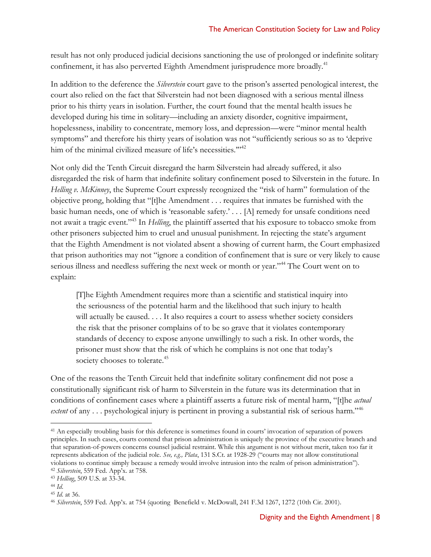result has not only produced judicial decisions sanctioning the use of prolonged or indefinite solitary confinement, it has also perverted Eighth Amendment jurisprudence more broadly.<sup>41</sup>

In addition to the deference the *Silverstein* court gave to the prison's asserted penological interest, the court also relied on the fact that Silverstein had not been diagnosed with a serious mental illness prior to his thirty years in isolation. Further, the court found that the mental health issues he developed during his time in solitary—including an anxiety disorder, cognitive impairment, hopelessness, inability to concentrate, memory loss, and depression—were "minor mental health symptoms" and therefore his thirty years of isolation was not "sufficiently serious so as to 'deprive him of the minimal civilized measure of life's necessities."<sup>12</sup>

Not only did the Tenth Circuit disregard the harm Silverstein had already suffered, it also disregarded the risk of harm that indefinite solitary confinement posed to Silverstein in the future. In *Helling v. McKinney*, the Supreme Court expressly recognized the "risk of harm" formulation of the objective prong, holding that "[t]he Amendment . . . requires that inmates be furnished with the basic human needs, one of which is 'reasonable safety.' . . . [A] remedy for unsafe conditions need not await a tragic event."<sup>43</sup> In *Helling*, the plaintiff asserted that his exposure to tobacco smoke from other prisoners subjected him to cruel and unusual punishment. In rejecting the state's argument that the Eighth Amendment is not violated absent a showing of current harm, the Court emphasized that prison authorities may not "ignore a condition of confinement that is sure or very likely to cause serious illness and needless suffering the next week or month or year."<sup>44</sup> The Court went on to explain:

[T]he Eighth Amendment requires more than a scientific and statistical inquiry into the seriousness of the potential harm and the likelihood that such injury to health will actually be caused. . . . It also requires a court to assess whether society considers the risk that the prisoner complains of to be so grave that it violates contemporary standards of decency to expose anyone unwillingly to such a risk. In other words, the prisoner must show that the risk of which he complains is not one that today's society chooses to tolerate.<sup>45</sup>

One of the reasons the Tenth Circuit held that indefinite solitary confinement did not pose a constitutionally significant risk of harm to Silverstein in the future was its determination that in conditions of confinement cases where a plaintiff asserts a future risk of mental harm, "[t]he *actual extent* of any . . . psychological injury is pertinent in proving a substantial risk of serious harm."<sup>46</sup>

 $\overline{a}$ <sup>41</sup> An especially troubling basis for this deference is sometimes found in courts' invocation of separation of powers principles. In such cases, courts contend that prison administration is uniquely the province of the executive branch and that separation-of-powers concerns counsel judicial restraint. While this argument is not without merit, taken too far it represents abdication of the judicial role. *See, e.g., Plata*, 131 S.Ct. at 1928-29 ("courts may not allow constitutional violations to continue simply because a remedy would involve intrusion into the realm of prison administration"). <sup>42</sup> *Silverstein*, 559 Fed. App'x. at 758.

<sup>43</sup> *Helling*, 509 U.S. at 33-34.

<sup>44</sup> *Id*.

<sup>45</sup> *Id*. at 36.

<sup>46</sup> *Silverstein*, 559 Fed. App'x. at 754 (quoting Benefield v. McDowall, 241 F.3d 1267, 1272 (10th Cir. 2001).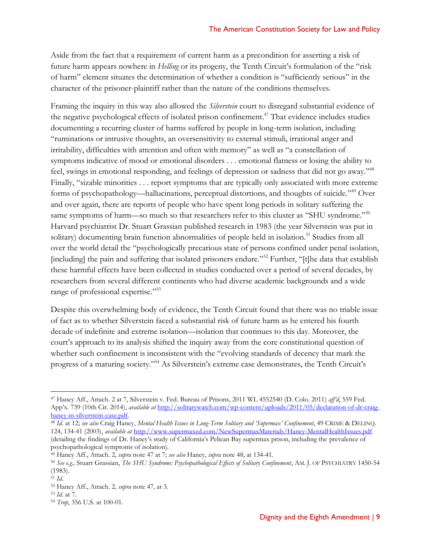Aside from the fact that a requirement of current harm as a precondition for asserting a risk of future harm appears nowhere in *Helling* or its progeny, the Tenth Circuit's formulation of the "risk of harm" element situates the determination of whether a condition is "sufficiently serious" in the character of the prisoner-plaintiff rather than the nature of the conditions themselves.

<span id="page-8-1"></span><span id="page-8-0"></span>Framing the inquiry in this way also allowed the *Silverstein* court to disregard substantial evidence of the negative psychological effects of isolated prison confinement. <sup>47</sup> That evidence includes studies documenting a recurring cluster of harms suffered by people in long-term isolation, including "ruminations or intrusive thoughts, an oversensitivity to external stimuli, irrational anger and irritability, difficulties with attention and often with memory" as well as "a constellation of symptoms indicative of mood or emotional disorders . . . emotional flatness or losing the ability to feel, swings in emotional responding, and feelings of depression or sadness that did not go away."<sup>48</sup> Finally, "sizable minorities . . . report symptoms that are typically only associated with more extreme forms of psychopathology—hallucinations, perceptual distortions, and thoughts of suicide."<sup>49</sup> Over and over again, there are reports of people who have spent long periods in solitary suffering the same symptoms of harm—so much so that researchers refer to this cluster as "SHU syndrome."<sup>50</sup> Harvard psychiatrist Dr. Stuart Grassian published research in 1983 (the year Silverstein was put in solitary) documenting brain function abnormalities of people held in isolation.<sup>51</sup> Studies from all over the world detail the "psychologically precarious state of persons confined under penal isolation, [including] the pain and suffering that isolated prisoners endure."<sup>52</sup> Further, "[t]he data that establish these harmful effects have been collected in studies conducted over a period of several decades, by researchers from several different continents who had diverse academic backgrounds and a wide range of professional expertise."<sup>53</sup>

Despite this overwhelming body of evidence, the Tenth Circuit found that there was no triable issue of fact as to whether Silverstein faced a substantial risk of future harm as he entered his fourth decade of indefinite and extreme isolation—isolation that continues to this day. Moreover, the court's approach to its analysis shifted the inquiry away from the core constitutional question of whether such confinement is inconsistent with the "evolving standards of decency that mark the progress of a maturing society."<sup>54</sup> As Silverstein's extreme case demonstrates, the Tenth Circuit's

<sup>47</sup> Haney Aff., Attach. 2 at 7, Silverstein v. Fed. Bureau of Prisons, 2011 WL 4552540 (D. Colo. 2011) *aff'd*, 559 Fed. App'x. 739 (10th Cir. 2014), *available at* [http://solitarywatch.com/wp-content/uploads/2011/05/declaration-of-dr-craig](http://solitarywatch.com/wp-content/uploads/2011/05/declaration-of-dr-craig-haney-in-silverstein-case.pdf)[haney-in-silverstein-case.pdf.](http://solitarywatch.com/wp-content/uploads/2011/05/declaration-of-dr-craig-haney-in-silverstein-case.pdf)

<sup>48</sup> *Id*. at 12; *see also* Craig Haney, *Mental Health Issues in Long-Term Solitary and 'Supermax' Confinement*, 49 CRIME & DELINQ. 124, 134-41 (2003), *available at* <http://www.supermaxed.com/NewSupermaxMaterials/Haney-MentalHealthIssues.pdf> (detailing the findings of Dr. Haney's study of California's Pelican Bay supermax prison, including the prevalence of psychopathological symptoms of isolation).

<sup>49</sup> Haney Aff., Attach. 2, *supra* note [47](#page-8-0) at 7; *see also* Haney, *supra* note [48,](#page-8-1) at 134-41.

<sup>50</sup> *See e.g.,* Stuart Grassian, *The SHU Syndrome: Psychopathological Effects of Solitary Confinement*, AM. J. OF PSYCHIATRY 1450-54 (1983).

 $51$  *Id.* 

<sup>52</sup> Haney Aff., Attach. 2*, supra* note [47](#page-8-0)*,* at 3.

<sup>53</sup> *Id.* at 7.

<sup>54</sup> *Trop*, 356 U.S. at 100-01.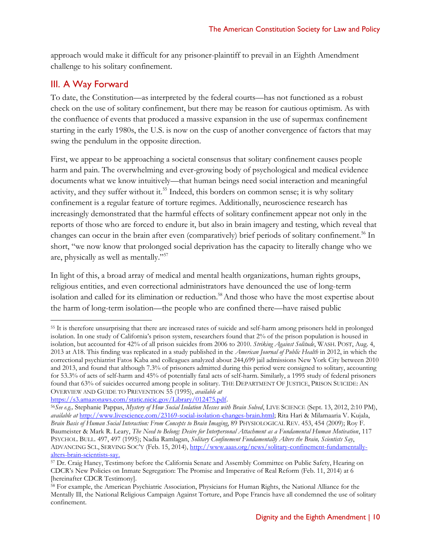approach would make it difficult for any prisoner-plaintiff to prevail in an Eighth Amendment challenge to his solitary confinement.

## III. A Way Forward

 $\overline{a}$ 

To date, the Constitution—as interpreted by the federal courts—has not functioned as a robust check on the use of solitary confinement, but there may be reason for cautious optimism. As with the confluence of events that produced a massive expansion in the use of supermax confinement starting in the early 1980s, the U.S. is now on the cusp of another convergence of factors that may swing the pendulum in the opposite direction.

First, we appear to be approaching a societal consensus that solitary confinement causes people harm and pain. The overwhelming and ever-growing body of psychological and medical evidence documents what we know intuitively—that human beings need social interaction and meaningful activity, and they suffer without it.<sup>55</sup> Indeed, this borders on common sense; it is why solitary confinement is a regular feature of torture regimes. Additionally, neuroscience research has increasingly demonstrated that the harmful effects of solitary confinement appear not only in the reports of those who are forced to endure it, but also in brain imagery and testing, which reveal that changes can occur in the brain after even (comparatively) brief periods of solitary confinement.<sup>56</sup> In short, "we now know that prolonged social deprivation has the capacity to literally change who we are, physically as well as mentally."<sup>57</sup>

<span id="page-9-0"></span>In light of this, a broad array of medical and mental health organizations, human rights groups, religious entities, and even correctional administrators have denounced the use of long-term isolation and called for its elimination or reduction.<sup>58</sup> And those who have the most expertise about the harm of long-term isolation—the people who are confined there—have raised public

[https://s3.amazonaws.com/static.nicic.gov/Library/012475.pdf.](https://s3.amazonaws.com/static.nicic.gov/Library/012475.pdf)

<sup>55</sup> It is therefore unsurprising that there are increased rates of suicide and self-harm among prisoners held in prolonged isolation. In one study of California's prison system, researchers found that 2% of the prison population is housed in isolation, but accounted for 42% of all prison suicides from 2006 to 2010. *Striking Against Solitude*, WASH. POST, Aug. 4, 2013 at A18. This finding was replicated in a study published in the *American Journal of Public Health* in 2012, in which the correctional psychiatrist Fatos Kaba and colleagues analyzed about 244,699 jail admissions New York City between 2010 and 2013, and found that although 7.3% of prisoners admitted during this period were consigned to solitary, accounting for 53.3% of acts of self-harm and 45% of potentially fatal acts of self-harm. Similarly, a 1995 study of federal prisoners found that 63% of suicides occurred among people in solitary. THE DEPARTMENT OF JUSTICE, PRISON SUICIDE: AN OVERVIEW AND GUIDE TO PREVENTION 55 (1995), *available at*

<sup>56</sup>*See e.g.,* Stephanie Pappas, *Mystery of How Social Isolation Messes with Brain Solved*, LIVE SCIENCE (Sept. 13, 2012, 2:10 PM), *available at* [http://www.livescience.com/23169-social-isolation-changes-brain.html;](http://www.livescience.com/23169-social-isolation-changes-brain.html) Rita Hari & Milamaaria V. Kujala, *Brain Basis of Human Social Interaction: From Concepts to Brain Imaging*, 89 PHYSIOLOGICAL REV. 453, 454 (2009); Roy F. Baumeister & Mark R. Leary, *The Need to Belong: Desire for Interpersonal Attachment as a Fundamental Human Motivation*, 117 PSYCHOL. BULL. 497, 497 (1995); Nadia Ramlagan, *Solitary Confinement Fundamentally Alters the Brain, Scientists Say*, ADVANCING SCI., SERVING SOC'Y (Feb. 15, 2014), [http://www.aaas.org/news/solitary-confinement-fundamentally](http://www.aaas.org/news/solitary-confinement-fundamentally-alters-brain-scientists-say)[alters-brain-scientists-say.](http://www.aaas.org/news/solitary-confinement-fundamentally-alters-brain-scientists-say)

<sup>57</sup> Dr. Craig Haney, Testimony before the California Senate and Assembly Committee on Public Safety, Hearing on CDCR's New Policies on Inmate Segregation: The Promise and Imperative of Real Reform (Feb. 11, 2014) at 6 [hereinafter CDCR Testimony].

<sup>58</sup> For example, the American Psychiatric Association, Physicians for Human Rights, the National Alliance for the Mentally Ill, the National Religious Campaign Against Torture, and Pope Francis have all condemned the use of solitary confinement.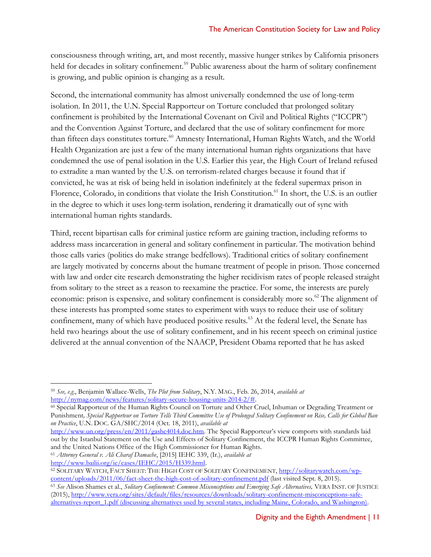consciousness through writing, art, and most recently, massive hunger strikes by California prisoners held for decades in solitary confinement.<sup>59</sup> Public awareness about the harm of solitary confinement is growing, and public opinion is changing as a result.

Second, the international community has almost universally condemned the use of long-term isolation. In 2011, the U.N. Special Rapporteur on Torture concluded that prolonged solitary confinement is prohibited by the International Covenant on Civil and Political Rights ("ICCPR") and the Convention Against Torture, and declared that the use of solitary confinement for more than fifteen days constitutes torture.<sup>60</sup> Amnesty International, Human Rights Watch, and the World Health Organization are just a few of the many international human rights organizations that have condemned the use of penal isolation in the U.S. Earlier this year, the High Court of Ireland refused to extradite a man wanted by the U.S. on terrorism-related charges because it found that if convicted, he was at risk of being held in isolation indefinitely at the federal supermax prison in Florence, Colorado, in conditions that violate the Irish Constitution.<sup>61</sup> In short, the U.S. is an outlier in the degree to which it uses long-term isolation, rendering it dramatically out of sync with international human rights standards.

Third, recent bipartisan calls for criminal justice reform are gaining traction, including reforms to address mass incarceration in general and solitary confinement in particular. The motivation behind those calls varies (politics do make strange bedfellows). Traditional critics of solitary confinement are largely motivated by concerns about the humane treatment of people in prison. Those concerned with law and order cite research demonstrating the higher recidivism rates of people released straight from solitary to the street as a reason to reexamine the practice. For some, the interests are purely economic: prison is expensive, and solitary confinement is considerably more so.<sup>62</sup> The alignment of these interests has prompted some states to experiment with ways to reduce their use of solitary confinement, many of which have produced positive results.<sup>63</sup> At the federal level, the Senate has held two hearings about the use of solitary confinement, and in his recent speech on criminal justice delivered at the annual convention of the NAACP, President Obama reported that he has asked

<sup>60</sup> Special Rapporteur of the Human Rights Council on Torture and Other Cruel, Inhuman or Degrading Treatment or Punishment*, Special Rapporteur on Torture Tells Third Committee Use of Prolonged Solitary Confinement on Rise, Calls for Global Ban on Practice*, U.N. DOC. GA/SHC/2014 (Oct. 18, 2011), *available at*

[http://www.un.org/press/en/2011/gashc4014.doc.htm.](http://www.un.org/press/en/2011/gashc4014.doc.htm) The Special Rapporteur's view comports with standards laid out by the Istanbul Statement on the Use and Effects of Solitary Confinement, the ICCPR Human Rights Committee, and the United Nations Office of the High Commissioner for Human Rights.

<sup>61</sup> *Attorney General v. Ali Charaf Damache*, [2015] IEHC 339, (Ir.), *available at*

[http://www.bailii.org/ie/cases/IEHC/2015/H339.html.](http://www.bailii.org/ie/cases/IEHC/2015/H339.html)

<span id="page-10-0"></span> $\overline{a}$ 

<sup>63</sup> *See* Alison Shames et al., *Solitary Confinement: Common Misconceptions and Emerging Safe Alternatives,* VERA INST. OF JUSTICE (2015), [http://www.vera.org/sites/default/files/resources/downloads/solitary-confinement-misconceptions-safe](http://www.vera.org/sites/default/files/resources/downloads/solitary-confinement-misconceptions-safe-alternatives-report_1.pdf)[alternatives-report\\_1.pdf](http://www.vera.org/sites/default/files/resources/downloads/solitary-confinement-misconceptions-safe-alternatives-report_1.pdf) (discussing alternatives used by several states, including Maine, Colorado, and Washington).

<sup>59</sup> *See, e.g*., Benjamin Wallace-Wells, *The Plot from Solitary*, N.Y. MAG., Feb. 26, 2014, *available at* [http://nymag.com/news/features/solitary-secure-housing-units-2014-2/#.](http://nymag.com/news/features/solitary-secure-housing-units-2014-2/) 

<sup>&</sup>lt;sup>62</sup> SOLITARY WATCH, FACT SHEET: THE HIGH COST OF SOLITARY CONFINEMENT, [http://solitarywatch.com/wp](http://solitarywatch.com/wp-content/uploads/2011/06/fact-sheet-the-high-cost-of-solitary-confinement.pdf)[content/uploads/2011/06/fact-sheet-the-high-cost-of-solitary-confinement.pdf](http://solitarywatch.com/wp-content/uploads/2011/06/fact-sheet-the-high-cost-of-solitary-confinement.pdf) (last visited Sept. 8, 2015).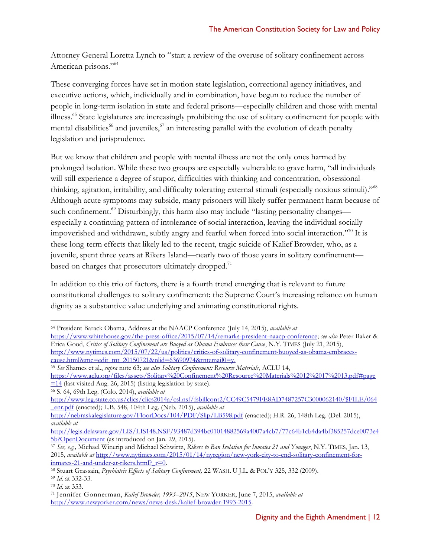Attorney General Loretta Lynch to "start a review of the overuse of solitary confinement across American prisons."<sup>64</sup>

These converging forces have set in motion state legislation, correctional agency initiatives, and executive actions, which, individually and in combination, have begun to reduce the number of people in long-term isolation in state and federal prisons—especially children and those with mental illness.<sup>65</sup> State legislatures are increasingly prohibiting the use of solitary confinement for people with mental disabilities<sup>66</sup> and juveniles,  $\frac{1}{2}$  an interesting parallel with the evolution of death penalty legislation and jurisprudence.

But we know that children and people with mental illness are not the only ones harmed by prolonged isolation. While these two groups are especially vulnerable to grave harm, "all individuals will still experience a degree of stupor, difficulties with thinking and concentration, obsessional thinking, agitation, irritability, and difficulty tolerating external stimuli (especially noxious stimuli)."<sup>68</sup> Although acute symptoms may subside, many prisoners will likely suffer permanent harm because of such confinement.<sup>69</sup> Disturbingly, this harm also may include "lasting personality changes especially a continuing pattern of intolerance of social interaction, leaving the individual socially impoverished and withdrawn, subtly angry and fearful when forced into social interaction."<sup>70</sup> It is these long-term effects that likely led to the recent, tragic suicide of Kalief Browder, who, as a juvenile, spent three years at Rikers Island—nearly two of those years in solitary confinement based on charges that prosecutors ultimately dropped.<sup>71</sup>

In addition to this trio of factors, there is a fourth trend emerging that is relevant to future constitutional challenges to solitary confinement: the Supreme Court's increasing reliance on human dignity as a substantive value underlying and animating constitutional rights.

<sup>66</sup> S. 64, 69th Leg. (Colo. 2014), *available at*

 $\overline{a}$ <sup>64</sup> President Barack Obama, Address at the NAACP Conference (July 14, 2015), *available at*

[https://www.whitehouse.gov/the-press-office/2015/07/14/remarks-president-naacp-conference;](https://www.whitehouse.gov/the-press-office/2015/07/14/remarks-president-naacp-conference) *see also* Peter Baker & Erica Good, *Critics of Solitary Confinement are Buoyed as Obama Embraces their Cause*, N.Y. TIMES (July 21, 2015), [http://www.nytimes.com/2015/07/22/us/politics/critics-of-solitary-confinement-buoyed-as-obama-embraces](http://www.nytimes.com/2015/07/22/us/politics/critics-of-solitary-confinement-buoyed-as-obama-embraces-cause.html?emc=edit_tnt_20150721&nlid=63690974&tntemail0=y)[cause.html?emc=edit\\_tnt\\_20150721&nlid=63690974&tntemail0=y.](http://www.nytimes.com/2015/07/22/us/politics/critics-of-solitary-confinement-buoyed-as-obama-embraces-cause.html?emc=edit_tnt_20150721&nlid=63690974&tntemail0=y)

<sup>65</sup> *See* Shames et al., *supra* note [63;](#page-10-0) *see also Solitary Confinement: Resource Materials*, ACLU 14, [https://www.aclu.org/files/assets/Solitary%20Confinement%20Resource%20Materials%2012%2017%2013.pdf#page](https://www.aclu.org/files/assets/Solitary%20Confinement%20Resource%20Materials%2012%2017%2013.pdf#page=14)  $\equiv$  14 (last visited Aug. 26, 2015) (listing legislation by state).

[http://www.leg.state.co.us/clics/clics2014a/csl.nsf/fsbillcont2/CC49C5479FE8AD7487257C3000062140/\\$FILE/064](http://www.leg.state.co.us/clics/clics2014a/csl.nsf/fsbillcont2/CC49C5479FE8AD7487257C3000062140/$FILE/064_enr.pdf) [\\_enr.pdf](http://www.leg.state.co.us/clics/clics2014a/csl.nsf/fsbillcont2/CC49C5479FE8AD7487257C3000062140/$FILE/064_enr.pdf) (enacted); L.B. 548, 104th Leg. (Neb. 2015), *available at*

<http://nebraskalegislature.gov/FloorDocs/104/PDF/Slip/LB598.pdf> (enacted); H.R. 26, 148th Leg. (Del. 2015), *available at*

[http://legis.delaware.gov/LIS/LIS148.NSF/93487d394bc01014882569a4007a4cb7/77c64b1cb4da4bf385257dce0073e4](http://legis.delaware.gov/LIS/LIS148.NSF/93487d394bc01014882569a4007a4cb7/77c64b1cb4da4bf385257dce0073e45b?OpenDocument) [5b?OpenDocument](http://legis.delaware.gov/LIS/LIS148.NSF/93487d394bc01014882569a4007a4cb7/77c64b1cb4da4bf385257dce0073e45b?OpenDocument) (as introduced on Jan. 29, 2015).

<sup>67</sup> *See, e.g.,* Michael Winerip and Michael Schwirtz, *Rikers to Ban Isolation for Inmates 21 and Younger*, N.Y. TIMES, Jan. 13, 2015, *available at* [http://www.nytimes.com/2015/01/14/nyregion/new-york-city-to-end-solitary-confinement-for](http://www.nytimes.com/2015/01/14/nyregion/new-york-city-to-end-solitary-confinement-for-inmates-21-and-under-at-rikers.html?_r=0)inmates-21-and-under-at-rikers.html? r=0.

<sup>68</sup> Stuart Grassain, *Psychiatric Effects of Solitary Confinement,* 22 WASH. U J.L. & POL'Y 325, 332 (2009). <sup>69</sup> *Id.* at 332-33.

<sup>70</sup> *Id.* at 353.

<sup>71</sup> Jennifer Gonnerman, *Kalief Browder, 1993–2015*, NEW YORKER, June 7, 2015, *available at* [http://www.newyorker.com/news/news-desk/kalief-browder-1993-2015.](http://www.newyorker.com/news/news-desk/kalief-browder-1993-2015)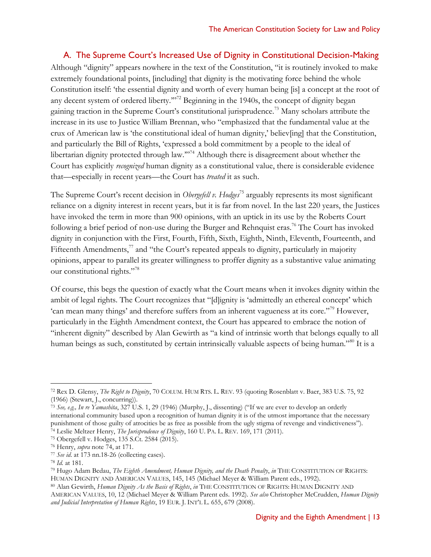#### <span id="page-12-2"></span>A. The Supreme Court's Increased Use of Dignity in Constitutional Decision-Making

Although "dignity" appears nowhere in the text of the Constitution, "it is routinely invoked to make extremely foundational points, [including] that dignity is the motivating force behind the whole Constitution itself: 'the essential dignity and worth of every human being [is] a concept at the root of any decent system of ordered liberty."<sup>72</sup> Beginning in the 1940s, the concept of dignity began gaining traction in the Supreme Court's constitutional jurisprudence.<sup>73</sup> Many scholars attribute the increase in its use to Justice William Brennan, who "emphasized that the fundamental value at the crux of American law is 'the constitutional ideal of human dignity,' believ[ing] that the Constitution, and particularly the Bill of Rights, 'expressed a bold commitment by a people to the ideal of libertarian dignity protected through law."<sup>74</sup> Although there is disagreement about whether the Court has explicitly *recognized* human dignity as a constitutional value, there is considerable evidence that—especially in recent years—the Court has *treated* it as such.

<span id="page-12-0"></span>The Supreme Court's recent decision in *Obergefell v. Hodges*<sup>75</sup> arguably represents its most significant reliance on a dignity interest in recent years, but it is far from novel. In the last 220 years, the Justices have invoked the term in more than 900 opinions, with an uptick in its use by the Roberts Court following a brief period of non-use during the Burger and Rehnquist eras.<sup>76</sup> The Court has invoked dignity in conjunction with the First, Fourth, Fifth, Sixth, Eighth, Ninth, Eleventh, Fourteenth, and Fifteenth Amendments, $^{77}$  and "the Court's repeated appeals to dignity, particularly in majority opinions, appear to parallel its greater willingness to proffer dignity as a substantive value animating our constitutional rights."<sup>78</sup>

Of course, this begs the question of exactly what the Court means when it invokes dignity within the ambit of legal rights. The Court recognizes that "[d]ignity is 'admittedly an ethereal concept' which 'can mean many things' and therefore suffers from an inherent vagueness at its core."<sup>79</sup> However, particularly in the Eighth Amendment context, the Court has appeared to embrace the notion of "inherent dignity" described by Alan Gewirth as "a kind of intrinsic worth that belongs equally to all human beings as such, constituted by certain intrinsically valuable aspects of being human."<sup>80</sup> It is a

<span id="page-12-1"></span><sup>72</sup> Rex D. Glensy, *The Right to Dignity*, 70 COLUM. HUM RTS. L. REV. 93 (quoting Rosenblatt v. Baer, 383 U.S. 75, 92 (1966) (Stewart, J., concurring)).

<sup>73</sup> *See, e.g., In re Yamashita*, 327 U.S. 1, 29 (1946) (Murphy, J., dissenting) ("If we are ever to develop an orderly international community based upon a recognition of human dignity it is of the utmost importance that the necessary punishment of those guilty of atrocities be as free as possible from the ugly stigma of revenge and vindictiveness"). <sup>74</sup> Leslie Meltzer Henry, *The Jurisprudence of Dignity*, 160 U. PA. L. REV. 169, 171 (2011).

<sup>75</sup> Obergefell v. Hodges, 135 S.Ct. 2584 (2015).

<sup>76</sup> Henry, *supra* note [74,](#page-12-0) at 171.

<sup>77</sup> *See id*. at 173 nn.18-26 (collecting cases).

<sup>78</sup> *Id.* at 181.

<sup>79</sup> Hugo Adam Bedau, *The Eighth Amendment, Human Dignity, and the Death Penalty*, *in* THE CONSTITUTION OF RIGHTS: HUMAN DIGNITY AND AMERICAN VALUES, 145, 145 (Michael Meyer & William Parent eds., 1992).

<sup>80</sup> Alan Gewirth, *Human Dignity As the Basis of Rights*, *in* THE CONSTITUTION OF RIGHTS: HUMAN DIGNITY AND AMERICAN VALUES, 10, 12 (Michael Meyer & William Parent eds. 1992). *See also* Christopher McCrudden, *Human Dignity and Judicial Interpretation of Human Rights*, 19 EUR. J. INT'L L. 655, 679 (2008).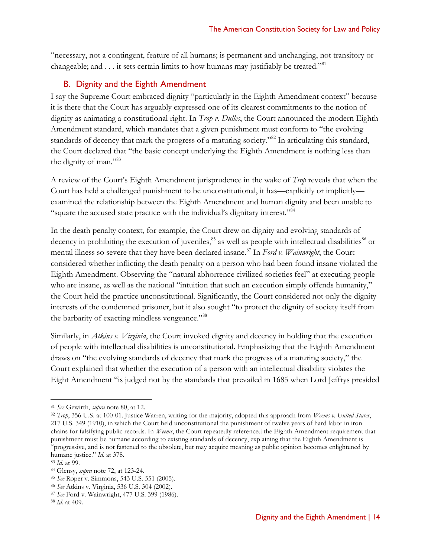"necessary, not a contingent, feature of all humans; is permanent and unchanging, not transitory or changeable; and  $\dots$  it sets certain limits to how humans may justifiably be treated."<sup>81</sup>

#### B. Dignity and the Eighth Amendment

I say the Supreme Court embraced dignity "particularly in the Eighth Amendment context" because it is there that the Court has arguably expressed one of its clearest commitments to the notion of dignity as animating a constitutional right. In *Trop v. Dulles*, the Court announced the modern Eighth Amendment standard, which mandates that a given punishment must conform to "the evolving standards of decency that mark the progress of a maturing society."<sup>82</sup> In articulating this standard, the Court declared that "the basic concept underlying the Eighth Amendment is nothing less than the dignity of man."83

A review of the Court's Eighth Amendment jurisprudence in the wake of *Trop* reveals that when the Court has held a challenged punishment to be unconstitutional, it has—explicitly or implicitly examined the relationship between the Eighth Amendment and human dignity and been unable to "square the accused state practice with the individual's dignitary interest."<sup>84</sup>

In the death penalty context, for example, the Court drew on dignity and evolving standards of decency in prohibiting the execution of juveniles,<sup>85</sup> as well as people with intellectual disabilities<sup>86</sup> or mental illness so severe that they have been declared insane. <sup>87</sup> In *Ford v. Wainwright*, the Court considered whether inflicting the death penalty on a person who had been found insane violated the Eighth Amendment. Observing the "natural abhorrence civilized societies feel" at executing people who are insane, as well as the national "intuition that such an execution simply offends humanity," the Court held the practice unconstitutional. Significantly, the Court considered not only the dignity interests of the condemned prisoner, but it also sought "to protect the dignity of society itself from the barbarity of exacting mindless vengeance."<sup>88</sup>

Similarly, in *Atkins v. Virginia*, the Court invoked dignity and decency in holding that the execution of people with intellectual disabilities is unconstitutional. Emphasizing that the Eighth Amendment draws on "the evolving standards of decency that mark the progress of a maturing society," the Court explained that whether the execution of a person with an intellectual disability violates the Eight Amendment "is judged not by the standards that prevailed in 1685 when Lord Jeffrys presided

<sup>81</sup> *See* Gewirth, *supra* note [80,](#page-12-1) at 12.

<sup>82</sup> *Trop*, 356 U.S. at 100-01. Justice Warren, writing for the majority, adopted this approach from *Weems v. United States*, 217 U.S. 349 (1910), in which the Court held unconstitutional the punishment of twelve years of hard labor in iron chains for falsifying public records. In *Weems*, the Court repeatedly referenced the Eighth Amendment requirement that punishment must be humane according to existing standards of decency, explaining that the Eighth Amendment is "progressive, and is not fastened to the obsolete, but may acquire meaning as public opinion becomes enlightened by humane justice." *Id*. at 378.

<sup>83</sup> *Id*. at 99.

<sup>84</sup> Glensy, *supra* note [72,](#page-12-2) at 123-24.

<sup>85</sup> *See* Roper v. Simmons, 543 U.S. 551 (2005).

<sup>86</sup> *See* Atkins v. Virginia, 536 U.S. 304 (2002).

<sup>87</sup> *See* Ford v. Wainwright, 477 U.S. 399 (1986).

<sup>88</sup> *Id.* at 409.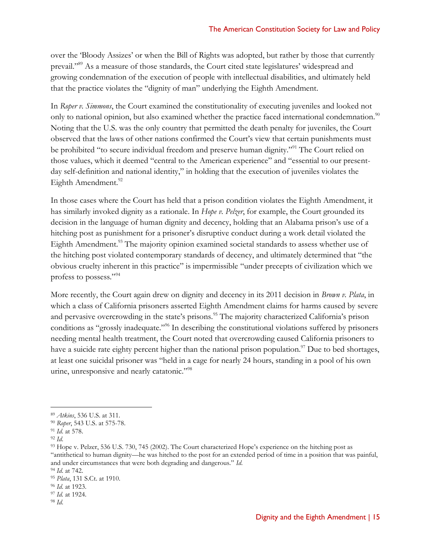over the 'Bloody Assizes' or when the Bill of Rights was adopted, but rather by those that currently prevail."<sup>89</sup> As a measure of those standards, the Court cited state legislatures' widespread and growing condemnation of the execution of people with intellectual disabilities, and ultimately held that the practice violates the "dignity of man" underlying the Eighth Amendment.

In *Roper v. Simmons*, the Court examined the constitutionality of executing juveniles and looked not only to national opinion, but also examined whether the practice faced international condemnation.<sup>90</sup> Noting that the U.S. was the only country that permitted the death penalty for juveniles, the Court observed that the laws of other nations confirmed the Court's view that certain punishments must be prohibited "to secure individual freedom and preserve human dignity."<sup>91</sup> The Court relied on those values, which it deemed "central to the American experience" and "essential to our presentday self-definition and national identity," in holding that the execution of juveniles violates the Eighth Amendment.<sup>92</sup>

In those cases where the Court has held that a prison condition violates the Eighth Amendment, it has similarly invoked dignity as a rationale. In *Hope v. Pelzer*, for example, the Court grounded its decision in the language of human dignity and decency, holding that an Alabama prison's use of a hitching post as punishment for a prisoner's disruptive conduct during a work detail violated the Eighth Amendment.<sup>93</sup> The majority opinion examined societal standards to assess whether use of the hitching post violated contemporary standards of decency, and ultimately determined that "the obvious cruelty inherent in this practice" is impermissible "under precepts of civilization which we profess to possess."<sup>94</sup>

More recently, the Court again drew on dignity and decency in its 2011 decision in *Brown v. Plata*, in which a class of California prisoners asserted Eighth Amendment claims for harms caused by severe and pervasive overcrowding in the state's prisons.<sup>95</sup> The majority characterized California's prison conditions as "grossly inadequate."<sup>96</sup> In describing the constitutional violations suffered by prisoners needing mental health treatment, the Court noted that overcrowding caused California prisoners to have a suicide rate eighty percent higher than the national prison population.<sup>97</sup> Due to bed shortages, at least one suicidal prisoner was "held in a cage for nearly 24 hours, standing in a pool of his own urine, unresponsive and nearly catatonic."<sup>98</sup>

<sup>89</sup> *Atkins*, 536 U.S. at 311.

<sup>90</sup> *Roper*, 543 U.S. at 575-78.

<sup>91</sup> *Id*. at 578.

<sup>92</sup> *Id*.

<sup>93</sup> Hope v. Pelzer, 536 U.S. 730, 745 (2002). The Court characterized Hope's experience on the hitching post as "antithetical to human dignity—he was hitched to the post for an extended period of time in a position that was painful, and under circumstances that were both degrading and dangerous." *Id*.

<sup>94</sup> *Id*. at 742.

<sup>95</sup> *Plata*, 131 S.Ct. at 1910.

<sup>96</sup> *Id*. at 1923.

<sup>97</sup> *Id.* at 1924.

<sup>98</sup> *Id*.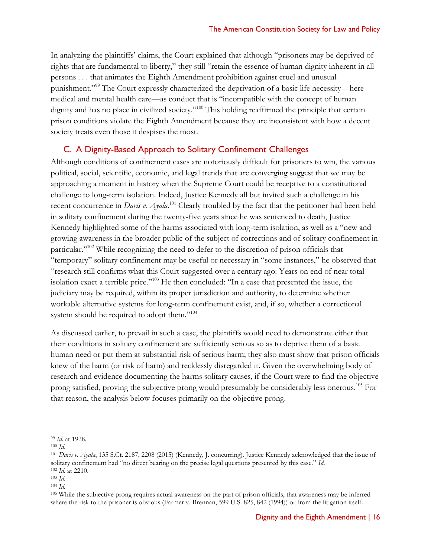In analyzing the plaintiffs' claims, the Court explained that although "prisoners may be deprived of rights that are fundamental to liberty," they still "retain the essence of human dignity inherent in all persons . . . that animates the Eighth Amendment prohibition against cruel and unusual punishment."<sup>99</sup> The Court expressly characterized the deprivation of a basic life necessity—here medical and mental health care—as conduct that is "incompatible with the concept of human dignity and has no place in civilized society."<sup>100</sup> This holding reaffirmed the principle that certain prison conditions violate the Eighth Amendment because they are inconsistent with how a decent society treats even those it despises the most.

#### C. A Dignity-Based Approach to Solitary Confinement Challenges

Although conditions of confinement cases are notoriously difficult for prisoners to win, the various political, social, scientific, economic, and legal trends that are converging suggest that we may be approaching a moment in history when the Supreme Court could be receptive to a constitutional challenge to long-term isolation. Indeed, Justice Kennedy all but invited such a challenge in his recent concurrence in *Davis v. Ayala*.<sup>101</sup> Clearly troubled by the fact that the petitioner had been held in solitary confinement during the twenty-five years since he was sentenced to death, Justice Kennedy highlighted some of the harms associated with long-term isolation, as well as a "new and growing awareness in the broader public of the subject of corrections and of solitary confinement in particular."<sup>102</sup> While recognizing the need to defer to the discretion of prison officials that "temporary" solitary confinement may be useful or necessary in "some instances," he observed that "research still confirms what this Court suggested over a century ago: Years on end of near totalisolation exact a terrible price."<sup>103</sup> He then concluded: "In a case that presented the issue, the judiciary may be required, within its proper jurisdiction and authority, to determine whether workable alternative systems for long-term confinement exist, and, if so, whether a correctional system should be required to adopt them."<sup>104</sup>

As discussed earlier, to prevail in such a case, the plaintiffs would need to demonstrate either that their conditions in solitary confinement are sufficiently serious so as to deprive them of a basic human need or put them at substantial risk of serious harm; they also must show that prison officials knew of the harm (or risk of harm) and recklessly disregarded it. Given the overwhelming body of research and evidence documenting the harms solitary causes, if the Court were to find the objective prong satisfied, proving the subjective prong would presumably be considerably less onerous.<sup>105</sup> For that reason, the analysis below focuses primarily on the objective prong.

<sup>99</sup> *Id*. at 1928.

<sup>100</sup> *Id*.

<sup>101</sup> *Davis v. Ayala*, 135 S.Ct. 2187, 2208 (2015) (Kennedy, J. concurring). Justice Kennedy acknowledged that the issue of solitary confinement had "no direct bearing on the precise legal questions presented by this case." *Id*. <sup>102</sup> *Id*. at 2210.

<sup>103</sup> *Id*.

<sup>104</sup> *Id*.

<sup>105</sup> While the subjective prong requires actual awareness on the part of prison officials, that awareness may be inferred where the risk to the prisoner is obvious (Farmer v. Brennan, 599 U.S. 825, 842 (1994)) or from the litigation itself.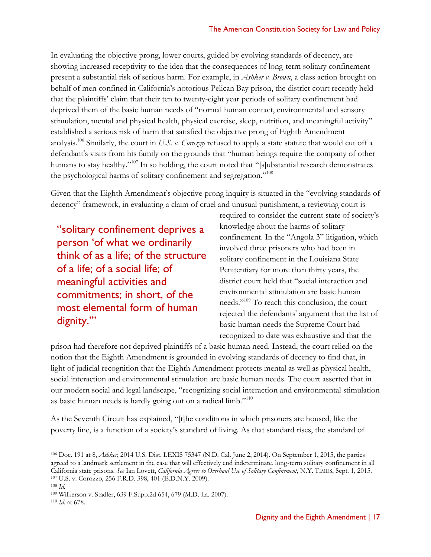In evaluating the objective prong, lower courts, guided by evolving standards of decency, are showing increased receptivity to the idea that the consequences of long-term solitary confinement present a substantial risk of serious harm. For example, in *Ashker v. Brown*, a class action brought on behalf of men confined in California's notorious Pelican Bay prison, the district court recently held that the plaintiffs' claim that their ten to twenty-eight year periods of solitary confinement had deprived them of the basic human needs of "normal human contact, environmental and sensory stimulation, mental and physical health, physical exercise, sleep, nutrition, and meaningful activity" established a serious risk of harm that satisfied the objective prong of Eighth Amendment analysis. <sup>106</sup> Similarly, the court in *U.S. v. Corozzo* refused to apply a state statute that would cut off a defendant's visits from his family on the grounds that "human beings require the company of other humans to stay healthy."<sup>107</sup> In so holding, the court noted that "[s]ubstantial research demonstrates the psychological harms of solitary confinement and segregation."<sup>108</sup>

Given that the Eighth Amendment's objective prong inquiry is situated in the "evolving standards of decency" framework, in evaluating a claim of cruel and unusual punishment, a reviewing court is

"solitary confinement deprives a person 'of what we ordinarily think of as a life; of the structure of a life; of a social life; of meaningful activities and commitments; in short, of the most elemental form of human dignity.'"

required to consider the current state of society's knowledge about the harms of solitary confinement. In the "Angola 3" litigation, which involved three prisoners who had been in solitary confinement in the Louisiana State Penitentiary for more than thirty years, the district court held that "social interaction and environmental stimulation are basic human needs."<sup>109</sup> To reach this conclusion, the court rejected the defendants' argument that the list of basic human needs the Supreme Court had recognized to date was exhaustive and that the

prison had therefore not deprived plaintiffs of a basic human need. Instead, the court relied on the notion that the Eighth Amendment is grounded in evolving standards of decency to find that, in light of judicial recognition that the Eighth Amendment protects mental as well as physical health, social interaction and environmental stimulation are basic human needs. The court asserted that in our modern social and legal landscape, "recognizing social interaction and environmental stimulation as basic human needs is hardly going out on a radical limb."<sup>110</sup>

As the Seventh Circuit has explained, "[t]he conditions in which prisoners are housed, like the poverty line, is a function of a society's standard of living. As that standard rises, the standard of

<sup>106</sup> Doc. 191 at 8, *Ashker*, 2014 U.S. Dist. LEXIS 75347 (N.D. Cal. June 2, 2014). On September 1, 2015, the parties agreed to a landmark settlement in the case that will effectively end indeterminate, long-term solitary confinement in all California state prisons. *See* Ian Lovett, *California Agrees to Overhaul Use of Solitary Confinement*, N.Y. TIMES, Sept. 1, 2015. <sup>107</sup> U.S. v. Corozzo, 256 F.R.D. 398, 401 (E.D.N.Y. 2009).

<sup>108</sup> *Id.*

<sup>109</sup> Wilkerson v. Stadler, 639 F.Supp.2d 654, 679 (M.D. La. 2007).

<sup>110</sup> *Id.* at 678.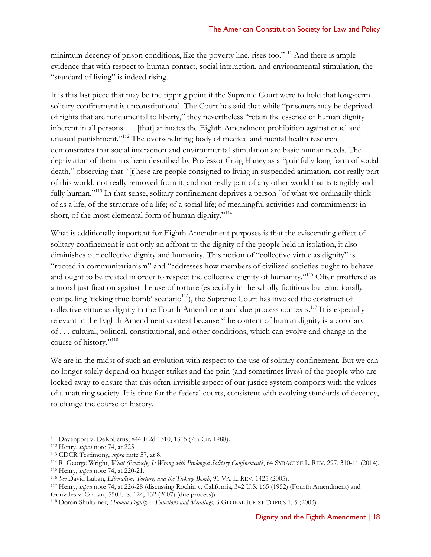minimum decency of prison conditions, like the poverty line, rises too."<sup>111</sup> And there is ample evidence that with respect to human contact, social interaction, and environmental stimulation, the "standard of living" is indeed rising.

It is this last piece that may be the tipping point if the Supreme Court were to hold that long-term solitary confinement is unconstitutional. The Court has said that while "prisoners may be deprived of rights that are fundamental to liberty," they nevertheless "retain the essence of human dignity inherent in all persons . . . [that] animates the Eighth Amendment prohibition against cruel and unusual punishment."<sup>112</sup> The overwhelming body of medical and mental health research demonstrates that social interaction and environmental stimulation are basic human needs. The deprivation of them has been described by Professor Craig Haney as a "painfully long form of social death," observing that "[t]hese are people consigned to living in suspended animation, not really part of this world, not really removed from it, and not really part of any other world that is tangibly and fully human."<sup>113</sup> In that sense, solitary confinement deprives a person "of what we ordinarily think of as a life; of the structure of a life; of a social life; of meaningful activities and commitments; in short, of the most elemental form of human dignity."<sup>114</sup>

What is additionally important for Eighth Amendment purposes is that the eviscerating effect of solitary confinement is not only an affront to the dignity of the people held in isolation, it also diminishes our collective dignity and humanity. This notion of "collective virtue as dignity" is "rooted in communitarianism" and "addresses how members of civilized societies ought to behave and ought to be treated in order to respect the collective dignity of humanity."<sup>115</sup> Often proffered as a moral justification against the use of torture (especially in the wholly fictitious but emotionally compelling 'ticking time bomb' scenario<sup>116</sup>), the Supreme Court has invoked the construct of collective virtue as dignity in the Fourth Amendment and due process contexts.<sup>117</sup> It is especially relevant in the Eighth Amendment context because "the content of human dignity is a corollary of . . . cultural, political, constitutional, and other conditions, which can evolve and change in the course of history."<sup>118</sup>

We are in the midst of such an evolution with respect to the use of solitary confinement. But we can no longer solely depend on hunger strikes and the pain (and sometimes lives) of the people who are locked away to ensure that this often-invisible aspect of our justice system comports with the values of a maturing society. It is time for the federal courts, consistent with evolving standards of decency, to change the course of history.

 $\overline{a}$ <sup>111</sup> Davenport v. DeRobertis, 844 F.2d 1310, 1315 (7th Cir. 1988).

<sup>112</sup> Henry, *supra* note [74,](#page-12-0) at 225.

<sup>113</sup> CDCR Testimony, *supra* note [57,](#page-9-0) at 8.

<sup>114</sup> R. George Wright, *What (Precisely) Is Wrong with Prolonged Solitary Confinement?*, 64 SYRACUSE L. REV. 297, 310-11 (2014).

<sup>115</sup> Henry, *supra* note [74,](#page-12-0) at 220-21.

<sup>116</sup> *See* David Luban, *Liberalism, Torture, and the Ticking Bomb*, 91 VA. L. REV. 1425 (2005).

<sup>117</sup> Henry, *supra* note [74,](#page-12-0) at 226-28 (discussing Rochin v. California, 342 U.S. 165 (1952) (Fourth Amendment) and Gonzales v. Carhart*,* 550 U.S. 124, 132 (2007) (due process)).

<sup>118</sup> Doron Shultziner, *Human Dignity – Functions and Meanings*, 3 GLOBAL JURIST TOPICS 1, 5 (2003).